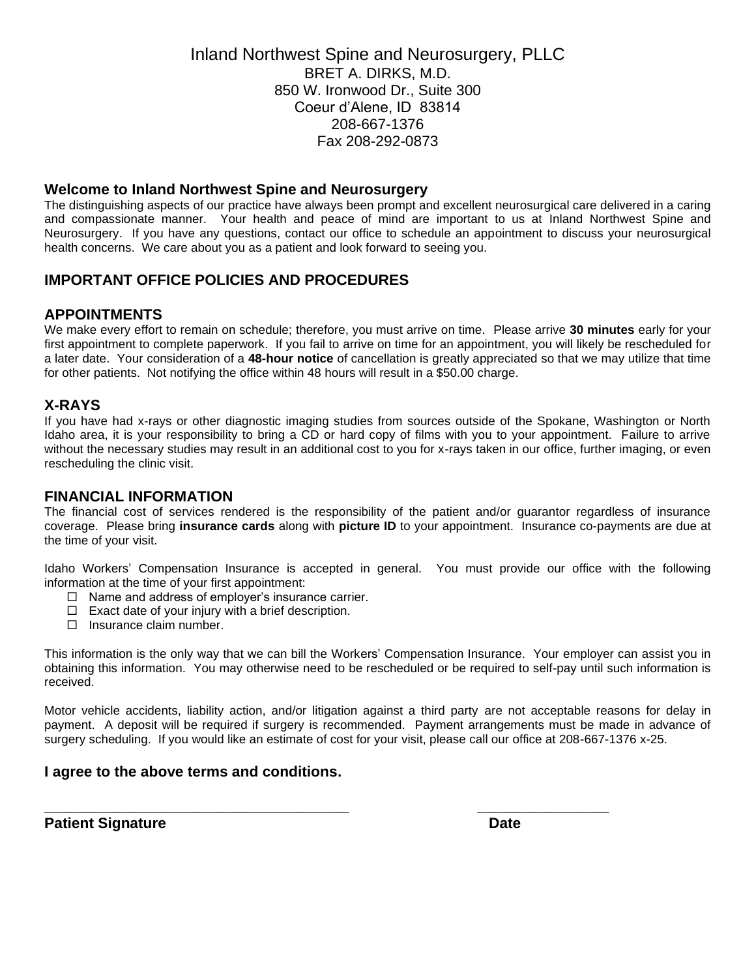Inland Northwest Spine and Neurosurgery, PLLC BRET A. DIRKS, M.D. 850 W. Ironwood Dr., Suite 300 Coeur d'Alene, ID 83814 208-667-1376 Fax 208-292-0873

#### **Welcome to Inland Northwest Spine and Neurosurgery**

The distinguishing aspects of our practice have always been prompt and excellent neurosurgical care delivered in a caring and compassionate manner. Your health and peace of mind are important to us at Inland Northwest Spine and Neurosurgery. If you have any questions, contact our office to schedule an appointment to discuss your neurosurgical health concerns. We care about you as a patient and look forward to seeing you.

# **IMPORTANT OFFICE POLICIES AND PROCEDURES**

## **APPOINTMENTS**

We make every effort to remain on schedule; therefore, you must arrive on time. Please arrive **30 minutes** early for your first appointment to complete paperwork. If you fail to arrive on time for an appointment, you will likely be rescheduled for a later date. Your consideration of a **48-hour notice** of cancellation is greatly appreciated so that we may utilize that time for other patients. Not notifying the office within 48 hours will result in a \$50.00 charge.

# **X-RAYS**

If you have had x-rays or other diagnostic imaging studies from sources outside of the Spokane, Washington or North Idaho area, it is your responsibility to bring a CD or hard copy of films with you to your appointment. Failure to arrive without the necessary studies may result in an additional cost to you for x-rays taken in our office, further imaging, or even rescheduling the clinic visit.

## **FINANCIAL INFORMATION**

The financial cost of services rendered is the responsibility of the patient and/or guarantor regardless of insurance coverage. Please bring **insurance cards** along with **picture ID** to your appointment. Insurance co-payments are due at the time of your visit.

Idaho Workers' Compensation Insurance is accepted in general. You must provide our office with the following information at the time of your first appointment:

- $\Box$  Name and address of employer's insurance carrier.
- $\Box$  Exact date of your injury with a brief description.
- $\Box$  Insurance claim number.

This information is the only way that we can bill the Workers' Compensation Insurance. Your employer can assist you in obtaining this information. You may otherwise need to be rescheduled or be required to self-pay until such information is received.

Motor vehicle accidents, liability action, and/or litigation against a third party are not acceptable reasons for delay in payment. A deposit will be required if surgery is recommended. Payment arrangements must be made in advance of surgery scheduling. If you would like an estimate of cost for your visit, please call our office at 208-667-1376 x-25.

**\_\_\_\_\_\_\_\_\_\_\_\_\_\_\_\_\_\_\_\_\_\_\_\_\_\_\_\_\_\_\_\_\_\_\_\_\_ \_\_\_\_\_\_\_\_\_\_\_\_\_\_\_\_**

## **I agree to the above terms and conditions.**

**Patient Signature Date**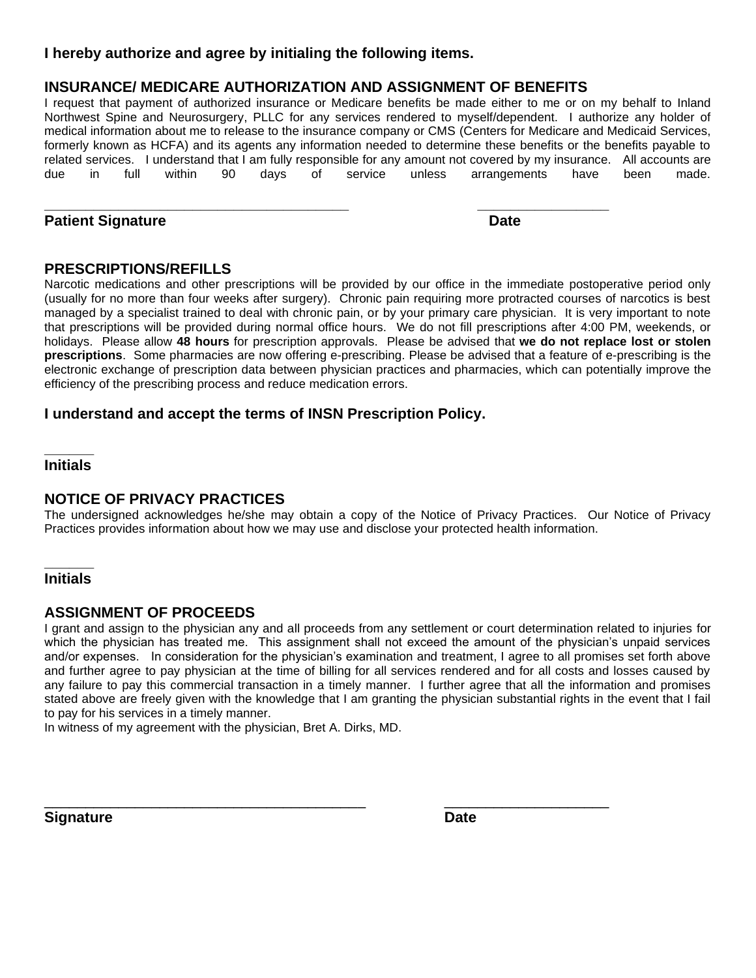# **I hereby authorize and agree by initialing the following items.**

# **INSURANCE/ MEDICARE AUTHORIZATION AND ASSIGNMENT OF BENEFITS**

**\_\_\_\_\_\_\_\_\_\_\_\_\_\_\_\_\_\_\_\_\_\_\_\_\_\_\_\_\_\_\_\_\_\_\_\_\_ \_\_\_\_\_\_\_\_\_\_\_\_\_\_\_\_**

I request that payment of authorized insurance or Medicare benefits be made either to me or on my behalf to Inland Northwest Spine and Neurosurgery, PLLC for any services rendered to myself/dependent. I authorize any holder of medical information about me to release to the insurance company or CMS (Centers for Medicare and Medicaid Services, formerly known as HCFA) and its agents any information needed to determine these benefits or the benefits payable to related services. I understand that I am fully responsible for any amount not covered by my insurance. All accounts are due in full within 90 days of service unless arrangements have been made.

# **Patient Signature Date**

# **PRESCRIPTIONS/REFILLS**

Narcotic medications and other prescriptions will be provided by our office in the immediate postoperative period only (usually for no more than four weeks after surgery). Chronic pain requiring more protracted courses of narcotics is best managed by a specialist trained to deal with chronic pain, or by your primary care physician. It is very important to note that prescriptions will be provided during normal office hours. We do not fill prescriptions after 4:00 PM, weekends, or holidays. Please allow **48 hours** for prescription approvals. Please be advised that **we do not replace lost or stolen prescriptions**. Some pharmacies are now offering e-prescribing. Please be advised that a feature of e-prescribing is the electronic exchange of prescription data between physician practices and pharmacies, which can potentially improve the efficiency of the prescribing process and reduce medication errors.

# **I understand and accept the terms of INSN Prescription Policy.**

#### **\_\_\_\_\_\_ Initials**

# **NOTICE OF PRIVACY PRACTICES**

The undersigned acknowledges he/she may obtain a copy of the Notice of Privacy Practices. Our Notice of Privacy Practices provides information about how we may use and disclose your protected health information.

#### **\_\_\_\_\_\_ Initials**

# **ASSIGNMENT OF PROCEEDS**

I grant and assign to the physician any and all proceeds from any settlement or court determination related to injuries for which the physician has treated me. This assignment shall not exceed the amount of the physician's unpaid services and/or expenses. In consideration for the physician's examination and treatment, I agree to all promises set forth above and further agree to pay physician at the time of billing for all services rendered and for all costs and losses caused by any failure to pay this commercial transaction in a timely manner. I further agree that all the information and promises stated above are freely given with the knowledge that I am granting the physician substantial rights in the event that I fail to pay for his services in a timely manner.

 $\overline{a}$  , and the contribution of the contribution of the contribution of the contribution of the contribution of the contribution of the contribution of the contribution of the contribution of the contribution of the co

In witness of my agreement with the physician, Bret A. Dirks, MD.

**Signature Date**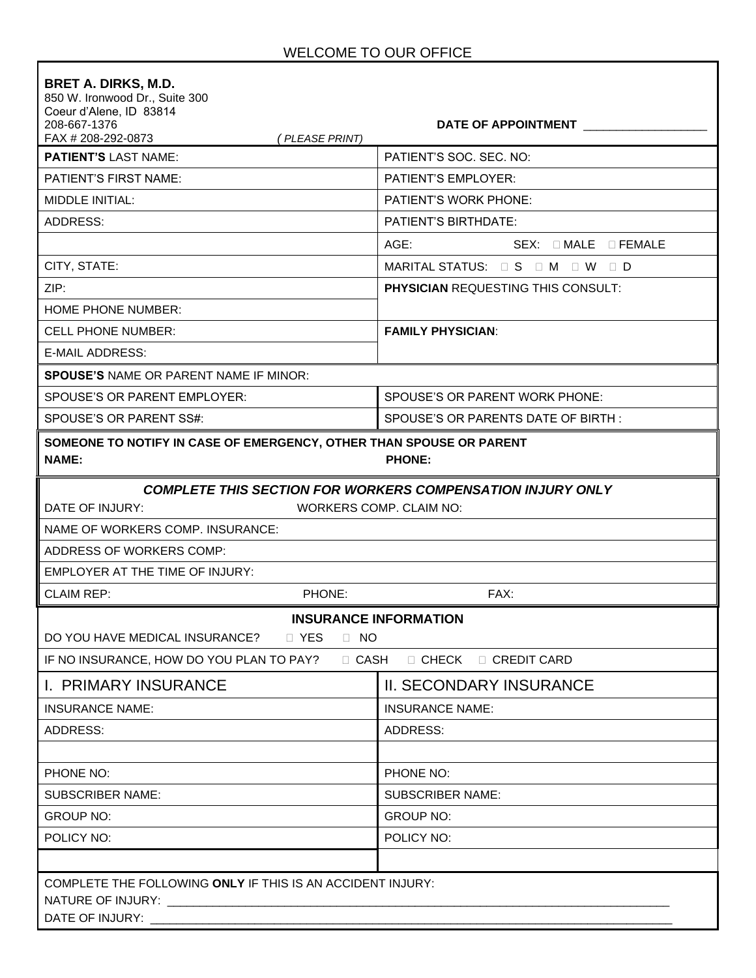| <b>BRET A. DIRKS, M.D.</b><br>850 W. Ironwood Dr., Suite 300<br>Coeur d'Alene, ID 83814<br>208-667-1376<br>FAX # 208-292-0873<br>(PLEASE PRINT)      | DATE OF APPOINTMENT                                               |  |  |  |
|------------------------------------------------------------------------------------------------------------------------------------------------------|-------------------------------------------------------------------|--|--|--|
| <b>PATIENT'S LAST NAME:</b>                                                                                                                          | PATIENT'S SOC. SEC. NO:                                           |  |  |  |
| <b>PATIENT'S FIRST NAME:</b>                                                                                                                         | <b>PATIENT'S EMPLOYER:</b>                                        |  |  |  |
| MIDDLE INITIAL:                                                                                                                                      | <b>PATIENT'S WORK PHONE:</b>                                      |  |  |  |
| ADDRESS:                                                                                                                                             | <b>PATIENT'S BIRTHDATE:</b>                                       |  |  |  |
|                                                                                                                                                      | AGE:<br>$SEX: \square MALE \square FEMALE$                        |  |  |  |
| CITY, STATE:                                                                                                                                         | MARITAL STATUS: $\Box$ S $\Box$ M $\Box$ W $\Box$ D               |  |  |  |
| ZIP:                                                                                                                                                 | <b>PHYSICIAN REQUESTING THIS CONSULT:</b>                         |  |  |  |
| HOME PHONE NUMBER:                                                                                                                                   |                                                                   |  |  |  |
| <b>CELL PHONE NUMBER:</b>                                                                                                                            | <b>FAMILY PHYSICIAN:</b>                                          |  |  |  |
| <b>E-MAIL ADDRESS:</b>                                                                                                                               |                                                                   |  |  |  |
| <b>SPOUSE'S NAME OR PARENT NAME IF MINOR:</b>                                                                                                        |                                                                   |  |  |  |
| SPOUSE'S OR PARENT EMPLOYER:                                                                                                                         | SPOUSE'S OR PARENT WORK PHONE:                                    |  |  |  |
| SPOUSE'S OR PARENT SS#:                                                                                                                              | SPOUSE'S OR PARENTS DATE OF BIRTH:                                |  |  |  |
| SOMEONE TO NOTIFY IN CASE OF EMERGENCY, OTHER THAN SPOUSE OR PARENT<br><b>NAME:</b><br><b>PHONE:</b>                                                 |                                                                   |  |  |  |
|                                                                                                                                                      | <b>COMPLETE THIS SECTION FOR WORKERS COMPENSATION INJURY ONLY</b> |  |  |  |
| DATE OF INJURY:<br><b>WORKERS COMP. CLAIM NO:</b>                                                                                                    |                                                                   |  |  |  |
| NAME OF WORKERS COMP. INSURANCE:                                                                                                                     |                                                                   |  |  |  |
| ADDRESS OF WORKERS COMP:                                                                                                                             |                                                                   |  |  |  |
| EMPLOYER AT THE TIME OF INJURY:                                                                                                                      |                                                                   |  |  |  |
| <b>CLAIM REP:</b><br>PHONE:                                                                                                                          | FAX:                                                              |  |  |  |
| <b>INSURANCE INFORMATION</b><br>DO YOU HAVE MEDICAL INSURANCE? JP YES JP NO<br>IF NO INSURANCE, HOW DO YOU PLAN TO PAY? □ CASH □ CHECK □ CREDIT CARD |                                                                   |  |  |  |
| I. PRIMARY INSURANCE                                                                                                                                 | <b>II. SECONDARY INSURANCE</b>                                    |  |  |  |
| <b>INSURANCE NAME:</b>                                                                                                                               | <b>INSURANCE NAME:</b>                                            |  |  |  |
| ADDRESS:                                                                                                                                             | ADDRESS:                                                          |  |  |  |
|                                                                                                                                                      |                                                                   |  |  |  |
| PHONE NO:                                                                                                                                            | PHONE NO:                                                         |  |  |  |
| <b>SUBSCRIBER NAME:</b>                                                                                                                              | <b>SUBSCRIBER NAME:</b>                                           |  |  |  |
| <b>GROUP NO:</b>                                                                                                                                     | <b>GROUP NO:</b>                                                  |  |  |  |
| POLICY NO:                                                                                                                                           | POLICY NO:                                                        |  |  |  |
|                                                                                                                                                      |                                                                   |  |  |  |
| COMPLETE THE FOLLOWING ONLY IF THIS IS AN ACCIDENT INJURY:<br>DATE OF INJURY: ____________                                                           |                                                                   |  |  |  |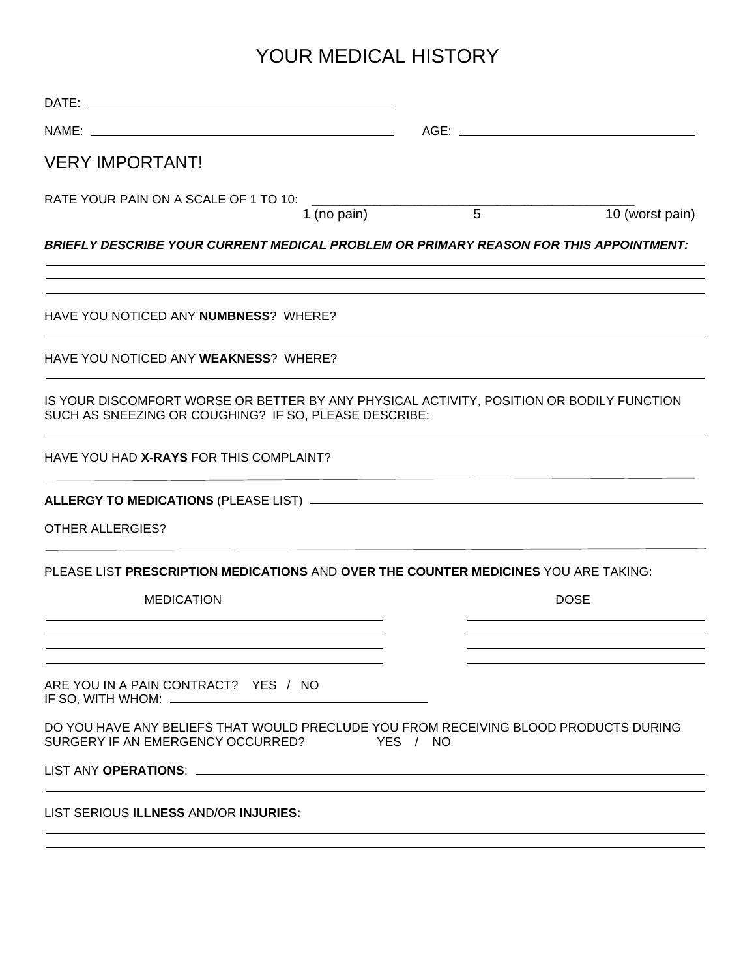# YOUR MEDICAL HISTORY

| <b>VERY IMPORTANT!</b>                                                                                                                            |               |                 |
|---------------------------------------------------------------------------------------------------------------------------------------------------|---------------|-----------------|
| RATE YOUR PAIN ON A SCALE OF 1 TO 10: _____                                                                                                       |               |                 |
| 1 (no pain)                                                                                                                                       | $\frac{1}{5}$ | 10 (worst pain) |
| <b>BRIEFLY DESCRIBE YOUR CURRENT MEDICAL PROBLEM OR PRIMARY REASON FOR THIS APPOINTMENT:</b>                                                      |               |                 |
| HAVE YOU NOTICED ANY NUMBNESS? WHERE?                                                                                                             |               |                 |
| HAVE YOU NOTICED ANY WEAKNESS? WHERE?                                                                                                             |               |                 |
| IS YOUR DISCOMFORT WORSE OR BETTER BY ANY PHYSICAL ACTIVITY, POSITION OR BODILY FUNCTION<br>SUCH AS SNEEZING OR COUGHING? IF SO, PLEASE DESCRIBE: |               |                 |
| HAVE YOU HAD X-RAYS FOR THIS COMPLAINT?                                                                                                           |               |                 |
|                                                                                                                                                   |               |                 |
| <b>OTHER ALLERGIES?</b>                                                                                                                           |               |                 |
| PLEASE LIST PRESCRIPTION MEDICATIONS AND OVER THE COUNTER MEDICINES YOU ARE TAKING:                                                               |               |                 |
| <b>MEDICATION</b><br>the control of the control of the control of the control of the control of the control of                                    |               | <b>DOSE</b>     |
| ARE YOU IN A PAIN CONTRACT? YES / NO<br>IF SO, WITH WHOM: __________                                                                              |               |                 |
| DO YOU HAVE ANY BELIEFS THAT WOULD PRECLUDE YOU FROM RECEIVING BLOOD PRODUCTS DURING<br>SURGERY IF AN EMERGENCY OCCURRED?                         | YES / NO      |                 |
|                                                                                                                                                   |               |                 |
| LIST SERIOUS ILLNESS AND/OR INJURIES:                                                                                                             |               |                 |
|                                                                                                                                                   |               |                 |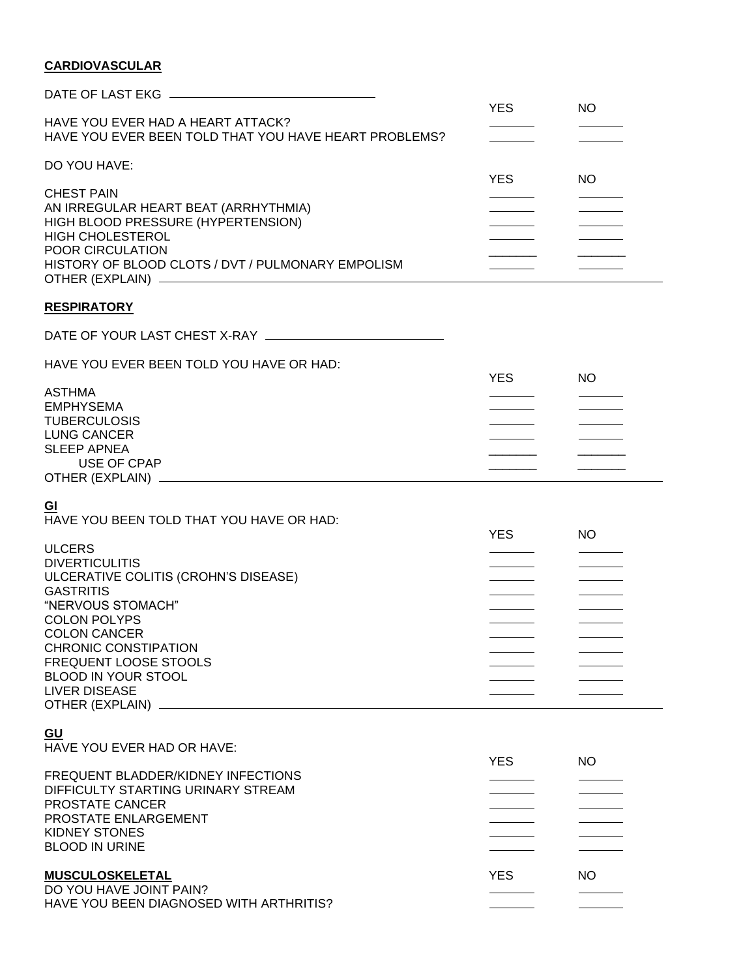# **CARDIOVASCULAR**

| HAVE YOU EVER HAD A HEART ATTACK?<br>HAVE YOU EVER BEEN TOLD THAT YOU HAVE HEART PROBLEMS?                                                                                                                                                                                                 | YES.       | <b>NO</b> |  |
|--------------------------------------------------------------------------------------------------------------------------------------------------------------------------------------------------------------------------------------------------------------------------------------------|------------|-----------|--|
| DO YOU HAVE:                                                                                                                                                                                                                                                                               |            |           |  |
| <b>CHEST PAIN</b><br>AN IRREGULAR HEART BEAT (ARRHYTHMIA)<br>HIGH BLOOD PRESSURE (HYPERTENSION)<br><b>HIGH CHOLESTEROL</b><br>POOR CIRCULATION<br>HISTORY OF BLOOD CLOTS / DVT / PULMONARY EMPOLISM                                                                                        | <b>YES</b> | NO        |  |
| <b>RESPIRATORY</b>                                                                                                                                                                                                                                                                         |            |           |  |
|                                                                                                                                                                                                                                                                                            |            |           |  |
| HAVE YOU EVER BEEN TOLD YOU HAVE OR HAD:                                                                                                                                                                                                                                                   | YES.       | NO.       |  |
| <b>ASTHMA</b><br><b>EMPHYSEMA</b><br><b>TUBERCULOSIS</b><br><b>LUNG CANCER</b><br><b>SLEEP APNEA</b><br>USE OF CPAP                                                                                                                                                                        |            |           |  |
| <u>GI</u>                                                                                                                                                                                                                                                                                  |            |           |  |
| HAVE YOU BEEN TOLD THAT YOU HAVE OR HAD:                                                                                                                                                                                                                                                   | <b>YES</b> | NO        |  |
| <b>ULCERS</b><br><b>DIVERTICULITIS</b><br>ULCERATIVE COLITIS (CROHN'S DISEASE)<br><b>GASTRITIS</b><br>"NERVOUS STOMACH"<br><b>COLON POLYPS</b><br><b>COLON CANCER</b><br><b>CHRONIC CONSTIPATION</b><br><b>FREQUENT LOOSE STOOLS</b><br><b>BLOOD IN YOUR STOOL</b><br><b>LIVER DISEASE</b> |            |           |  |
| GU<br>HAVE YOU EVER HAD OR HAVE:                                                                                                                                                                                                                                                           |            |           |  |
| FREQUENT BLADDER/KIDNEY INFECTIONS<br>DIFFICULTY STARTING URINARY STREAM<br>PROSTATE CANCER<br>PROSTATE ENLARGEMENT<br><b>KIDNEY STONES</b><br><b>BLOOD IN URINE</b>                                                                                                                       | <b>YES</b> | NO        |  |
| <b>MUSCULOSKELETAL</b><br>DO YOU HAVE JOINT PAIN?<br>HAVE YOU BEEN DIAGNOSED WITH ARTHRITIS?                                                                                                                                                                                               | <b>YES</b> | NO        |  |